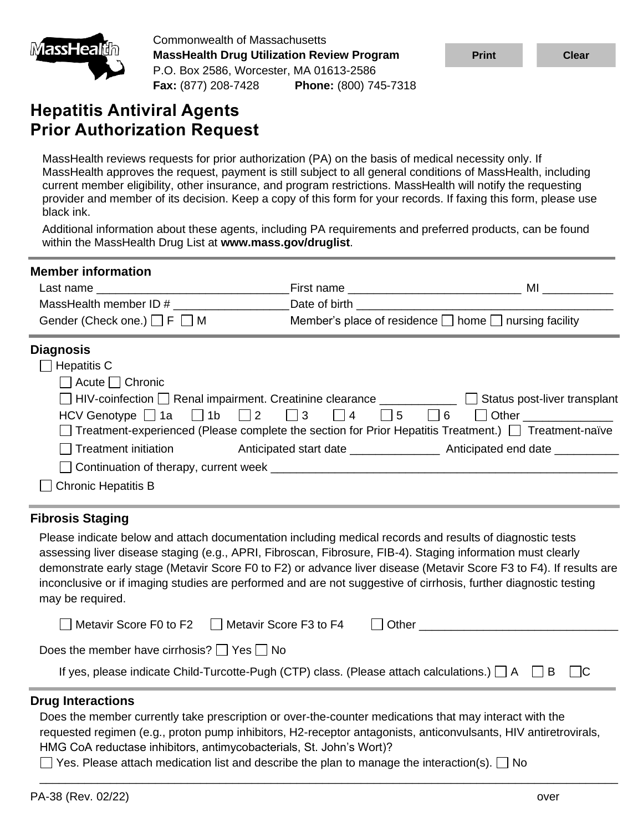

Commonwealth of Massachusetts **MassHealth Drug Utilization Review Program** P.O. Box 2586, Worcester, MA 01613-2586 **Fax:** (877) 208-7428 **Phone:** (800) 745-7318

# **Hepatitis Antiviral Agents Prior Authorization Request**

MassHealth reviews requests for prior authorization (PA) on the basis of medical necessity only. If MassHealth approves the request, payment is still subject to all general conditions of MassHealth, including current member eligibility, other insurance, and program restrictions. MassHealth will notify the requesting provider and member of its decision. Keep a copy of this form for your records. If faxing this form, please use black ink.

Additional information about these agents, including PA requirements and preferred products, can be found within the MassHealth Drug List at **www.mass.gov/druglist**.

| <b>Member information</b>                                                                              |                                                                 |  |
|--------------------------------------------------------------------------------------------------------|-----------------------------------------------------------------|--|
| Last name                                                                                              |                                                                 |  |
| MassHealth member ID #                                                                                 |                                                                 |  |
| Gender (Check one.) $\Box$ F $\Box$ M                                                                  | Member's place of residence $\Box$ home $\Box$ nursing facility |  |
| <b>Diagnosis</b>                                                                                       |                                                                 |  |
| $\Box$ Hepatitis C                                                                                     |                                                                 |  |
| $\Box$ Acute $\Box$ Chronic                                                                            |                                                                 |  |
| □ HIV-coinfection □ Renal impairment. Creatinine clearance ___________ □ Status post-liver transplant  |                                                                 |  |
| HCV Genotype $\Box$ 1a $\Box$ 1b $\Box$ 2 $\Box$ 3 $\Box$ 4 $\Box$ 5 $\Box$ 6 $\Box$ Other $\Box$      |                                                                 |  |
| □ Treatment-experienced (Please complete the section for Prior Hepatitis Treatment.) □ Treatment-naïve |                                                                 |  |
| ◯ Treatment initiation      Anticipated start date _______________ Anticipated end date __________     |                                                                 |  |
|                                                                                                        |                                                                 |  |
| <b>Chronic Hepatitis B</b>                                                                             |                                                                 |  |

### **Fibrosis Staging**

Please indicate below and attach documentation including medical records and results of diagnostic tests assessing liver disease staging (e.g., APRI, Fibroscan, Fibrosure, FIB-4). Staging information must clearly demonstrate early stage (Metavir Score F0 to F2) or advance liver disease (Metavir Score F3 to F4). If results are inconclusive or if imaging studies are performed and are not suggestive of cirrhosis, further diagnostic testing may be required.

| Metavir Score F0 to F2<br>Metavir Score F3 to F4                                                         | Other                       |
|----------------------------------------------------------------------------------------------------------|-----------------------------|
| Does the member have cirrhosis? $\Box$ Yes $\Box$ No                                                     |                             |
| If yes, please indicate Child-Turcotte-Pugh (CTP) class. (Please attach calculations.) $\Box A$ $\Box B$ | $\overline{\phantom{a}}$ IC |

### **Drug Interactions**

Does the member currently take prescription or over-the-counter medications that may interact with the requested regimen (e.g., proton pump inhibitors, H2-receptor antagonists, anticonvulsants, HIV antiretrovirals, HMG CoA reductase inhibitors, antimycobacterials, St. John's Wort)?

\_\_\_\_\_\_\_\_\_\_\_\_\_\_\_\_\_\_\_\_\_\_\_\_\_\_\_\_\_\_\_\_\_\_\_\_\_\_\_\_\_\_\_\_\_\_\_\_\_\_\_\_\_\_\_\_\_\_\_\_\_\_\_\_\_\_\_\_\_\_\_\_\_\_\_\_\_\_\_\_\_\_\_\_\_\_\_\_\_\_

 $\Box$  Yes. Please attach medication list and describe the plan to manage the interaction(s).  $\Box$  No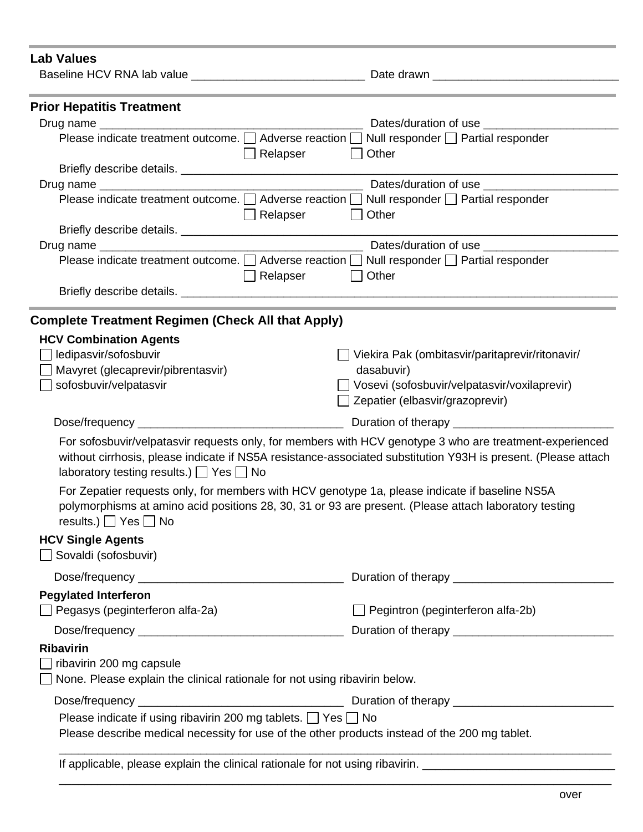| <b>Lab Values</b>                                                                             |                                                                                                               |  |  |
|-----------------------------------------------------------------------------------------------|---------------------------------------------------------------------------------------------------------------|--|--|
|                                                                                               |                                                                                                               |  |  |
|                                                                                               |                                                                                                               |  |  |
| <b>Prior Hepatitis Treatment</b>                                                              |                                                                                                               |  |  |
| Drug name                                                                                     | Dates/duration of use __________                                                                              |  |  |
| Please indicate treatment outcome. □ Adverse reaction □<br>Null responder   Partial responder |                                                                                                               |  |  |
| Relapser                                                                                      | Other                                                                                                         |  |  |
|                                                                                               |                                                                                                               |  |  |
|                                                                                               | Dates/duration of use                                                                                         |  |  |
|                                                                                               | Please indicate treatment outcome. $\Box$ Adverse reaction $\Box$ Null responder $\Box$ Partial responder     |  |  |
| $\Box$ Relapser                                                                               | Other                                                                                                         |  |  |
|                                                                                               |                                                                                                               |  |  |
|                                                                                               |                                                                                                               |  |  |
|                                                                                               | Please indicate treatment outcome. [ Adverse reaction [ Null responder [ Partial responder                    |  |  |
| Relapser                                                                                      | Other                                                                                                         |  |  |
|                                                                                               |                                                                                                               |  |  |
| <b>Complete Treatment Regimen (Check All that Apply)</b>                                      |                                                                                                               |  |  |
| <b>HCV Combination Agents</b>                                                                 |                                                                                                               |  |  |
| ledipasvir/sofosbuvir                                                                         | Viekira Pak (ombitasvir/paritaprevir/ritonavir/                                                               |  |  |
| Mavyret (glecaprevir/pibrentasvir)                                                            | dasabuvir)                                                                                                    |  |  |
| sofosbuvir/velpatasvir                                                                        | Vosevi (sofosbuvir/velpatasvir/voxilaprevir)                                                                  |  |  |
|                                                                                               | Zepatier (elbasvir/grazoprevir)                                                                               |  |  |
|                                                                                               |                                                                                                               |  |  |
|                                                                                               |                                                                                                               |  |  |
|                                                                                               | For sofosbuvir/velpatasvir requests only, for members with HCV genotype 3 who are treatment-experienced       |  |  |
|                                                                                               | without cirrhosis, please indicate if NS5A resistance-associated substitution Y93H is present. (Please attach |  |  |
| laboratory testing results.) $\Box$ Yes $\Box$ No                                             |                                                                                                               |  |  |
|                                                                                               | For Zepatier requests only, for members with HCV genotype 1a, please indicate if baseline NS5A                |  |  |
|                                                                                               | polymorphisms at amino acid positions 28, 30, 31 or 93 are present. (Please attach laboratory testing         |  |  |
| results.) $\Box$ Yes $\Box$ No                                                                |                                                                                                               |  |  |
| <b>HCV Single Agents</b>                                                                      |                                                                                                               |  |  |
| Sovaldi (sofosbuvir)                                                                          |                                                                                                               |  |  |
|                                                                                               |                                                                                                               |  |  |
|                                                                                               |                                                                                                               |  |  |
|                                                                                               |                                                                                                               |  |  |
| <b>Pegylated Interferon</b>                                                                   |                                                                                                               |  |  |
|                                                                                               |                                                                                                               |  |  |
| $\Box$ Pegasys (peginterferon alfa-2a)                                                        | $\Box$ Pegintron (peginterferon alfa-2b)                                                                      |  |  |
|                                                                                               |                                                                                                               |  |  |
| <b>Ribavirin</b>                                                                              |                                                                                                               |  |  |
| ribavirin 200 mg capsule                                                                      |                                                                                                               |  |  |
| None. Please explain the clinical rationale for not using ribavirin below.                    |                                                                                                               |  |  |
|                                                                                               |                                                                                                               |  |  |
| Please indicate if using ribavirin 200 mg tablets. $\Box$ Yes $\Box$ No                       |                                                                                                               |  |  |
| Please describe medical necessity for use of the other products instead of the 200 mg tablet. |                                                                                                               |  |  |

\_\_\_\_\_\_\_\_\_\_\_\_\_\_\_\_\_\_\_\_\_\_\_\_\_\_\_\_\_\_\_\_\_\_\_\_\_\_\_\_\_\_\_\_\_\_\_\_\_\_\_\_\_\_\_\_\_\_\_\_\_\_\_\_\_\_\_\_\_\_\_\_\_\_\_\_\_\_\_\_\_\_\_\_\_\_